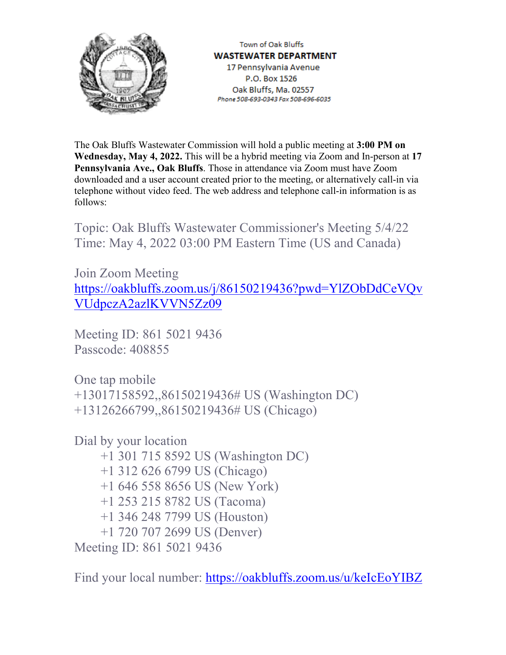

Town of Oak Bluffs **WASTEWATER DEPARTMENT** 17 Pennsylvania Avenue P.O. Box 1526 Oak Bluffs, Ma. 02557 Phone 508-693-0343 Fax 508-696-6035

The Oak Bluffs Wastewater Commission will hold a public meeting at **3:00 PM on Wednesday, May 4, 2022.** This will be a hybrid meeting via Zoom and In-person at **17 Pennsylvania Ave., Oak Bluffs**. Those in attendance via Zoom must have Zoom downloaded and a user account created prior to the meeting, or alternatively call-in via telephone without video feed. The web address and telephone call-in information is as follows:

Topic: Oak Bluffs Wastewater Commissioner's Meeting 5/4/22 Time: May 4, 2022 03:00 PM Eastern Time (US and Canada)

Join Zoom Meeting [https://oakbluffs.zoom.us/j/86150219436?pwd=YlZObDdCeVQv](https://oakbluffs.zoom.us/j/86150219436?pwd=YlZObDdCeVQvVUdpczA2azlKVVN5Zz09) [VUdpczA2azlKVVN5Zz09](https://oakbluffs.zoom.us/j/86150219436?pwd=YlZObDdCeVQvVUdpczA2azlKVVN5Zz09)

Meeting ID: 861 5021 9436 Passcode: 408855

One tap mobile +13017158592,,86150219436# US (Washington DC) +13126266799,,86150219436# US (Chicago)

Dial by your location +1 301 715 8592 US (Washington DC) +1 312 626 6799 US (Chicago) +1 646 558 8656 US (New York) +1 253 215 8782 US (Tacoma) +1 346 248 7799 US (Houston) +1 720 707 2699 US (Denver) Meeting ID: 861 5021 9436

Find your local number: <https://oakbluffs.zoom.us/u/keIcEoYIBZ>